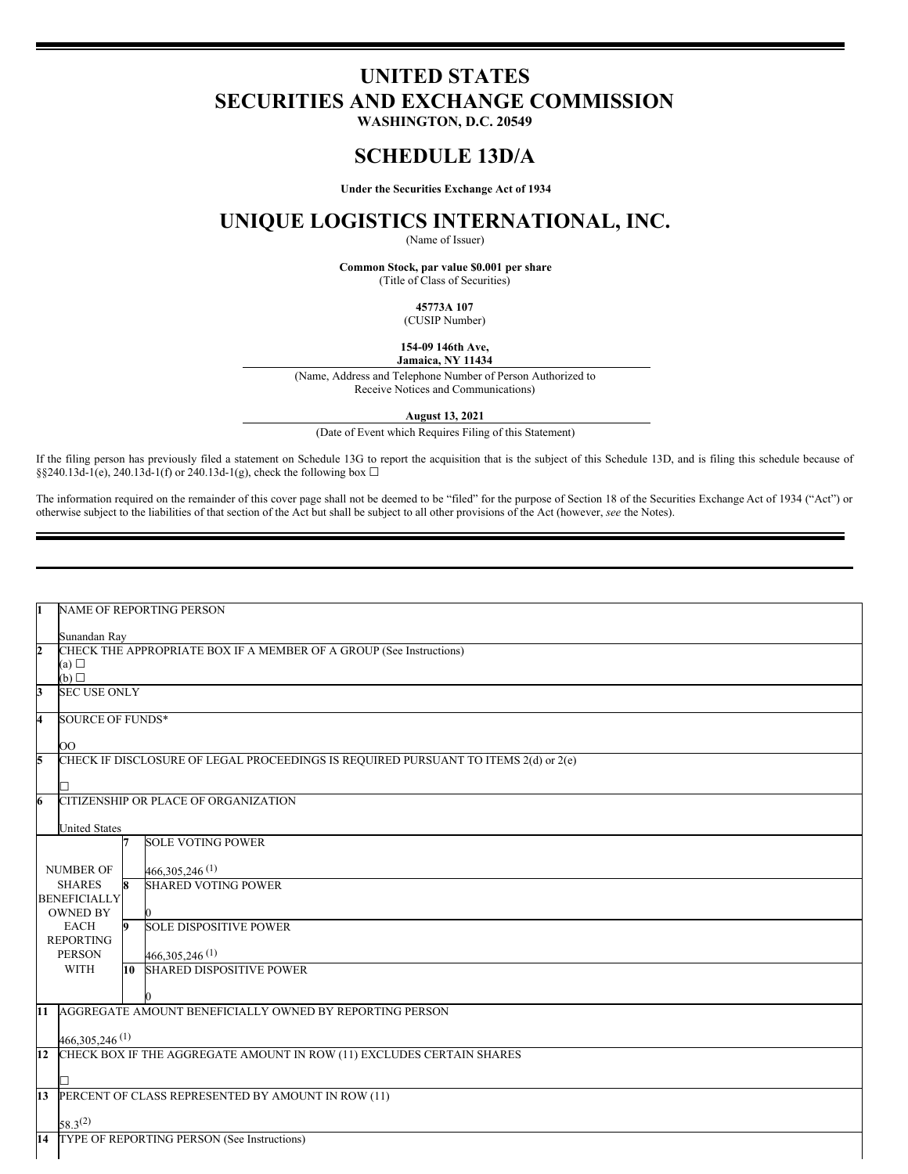# **UNITED STATES SECURITIES AND EXCHANGE COMMISSION**

**WASHINGTON, D.C. 20549**

### **SCHEDULE 13D/A**

**Under the Securities Exchange Act of 1934**

## **UNIQUE LOGISTICS INTERNATIONAL, INC.**

(Name of Issuer)

**Common Stock, par value \$0.001 per share** (Title of Class of Securities)

**45773A 107**

(CUSIP Number)

**154-09 146th Ave, Jamaica, NY 11434**

(Name, Address and Telephone Number of Person Authorized to Receive Notices and Communications)

**August 13, 2021**

(Date of Event which Requires Filing of this Statement)

If the filing person has previously filed a statement on Schedule 13G to report the acquisition that is the subject of this Schedule 13D, and is filing this schedule because of §§240.13d-1(e), 240.13d-1(f) or 240.13d-1(g), check the following box  $\Box$ 

The information required on the remainder of this cover page shall not be deemed to be "filed" for the purpose of Section 18 of the Securities Exchange Act of 1934 ("Act") or otherwise subject to the liabilities of that section of the Act but shall be subject to all other provisions of the Act (however, *see* the Notes).

| 1                       | <b>NAME OF REPORTING PERSON</b>                                                     |  |
|-------------------------|-------------------------------------------------------------------------------------|--|
|                         |                                                                                     |  |
|                         | Sunandan Ray                                                                        |  |
| $\overline{\mathbf{c}}$ | CHECK THE APPROPRIATE BOX IF A MEMBER OF A GROUP (See Instructions)                 |  |
|                         | (a)                                                                                 |  |
|                         | (b)                                                                                 |  |
| 3                       | <b>SEC USE ONLY</b>                                                                 |  |
| 4                       | <b>SOURCE OF FUNDS*</b>                                                             |  |
|                         |                                                                                     |  |
|                         | OO                                                                                  |  |
| 5                       | CHECK IF DISCLOSURE OF LEGAL PROCEEDINGS IS REQUIRED PURSUANT TO ITEMS 2(d) or 2(e) |  |
|                         |                                                                                     |  |
|                         |                                                                                     |  |
| 6                       | CITIZENSHIP OR PLACE OF ORGANIZATION                                                |  |
|                         |                                                                                     |  |
|                         | <b>United States</b>                                                                |  |
|                         | <b>SOLE VOTING POWER</b>                                                            |  |
|                         |                                                                                     |  |
|                         | 466, 305, 246 (1)<br><b>NUMBER OF</b>                                               |  |
|                         | <b>SHARES</b><br><b>SHARED VOTING POWER</b><br>8                                    |  |
| <b>BENEFICIALLY</b>     |                                                                                     |  |
|                         | <b>OWNED BY</b>                                                                     |  |
|                         | <b>SOLE DISPOSITIVE POWER</b><br><b>EACH</b><br>IQ.                                 |  |
|                         | <b>REPORTING</b>                                                                    |  |
|                         | <b>PERSON</b><br>466,305,246(1)                                                     |  |
|                         | <b>WITH</b><br><b>SHARED DISPOSITIVE POWER</b><br>10                                |  |
|                         |                                                                                     |  |
|                         |                                                                                     |  |
| $\overline{11}$         | AGGREGATE AMOUNT BENEFICIALLY OWNED BY REPORTING PERSON                             |  |
|                         |                                                                                     |  |
|                         | 466,305,246 <sup>(1)</sup>                                                          |  |
| 12                      | CHECK BOX IF THE AGGREGATE AMOUNT IN ROW (11) EXCLUDES CERTAIN SHARES               |  |
|                         |                                                                                     |  |
|                         |                                                                                     |  |
| 13                      | PERCENT OF CLASS REPRESENTED BY AMOUNT IN ROW (11)                                  |  |
|                         |                                                                                     |  |
|                         | $58.3^{(2)}$                                                                        |  |
|                         | 14 TYPE OF REPORTING PERSON (See Instructions)                                      |  |
|                         |                                                                                     |  |
|                         |                                                                                     |  |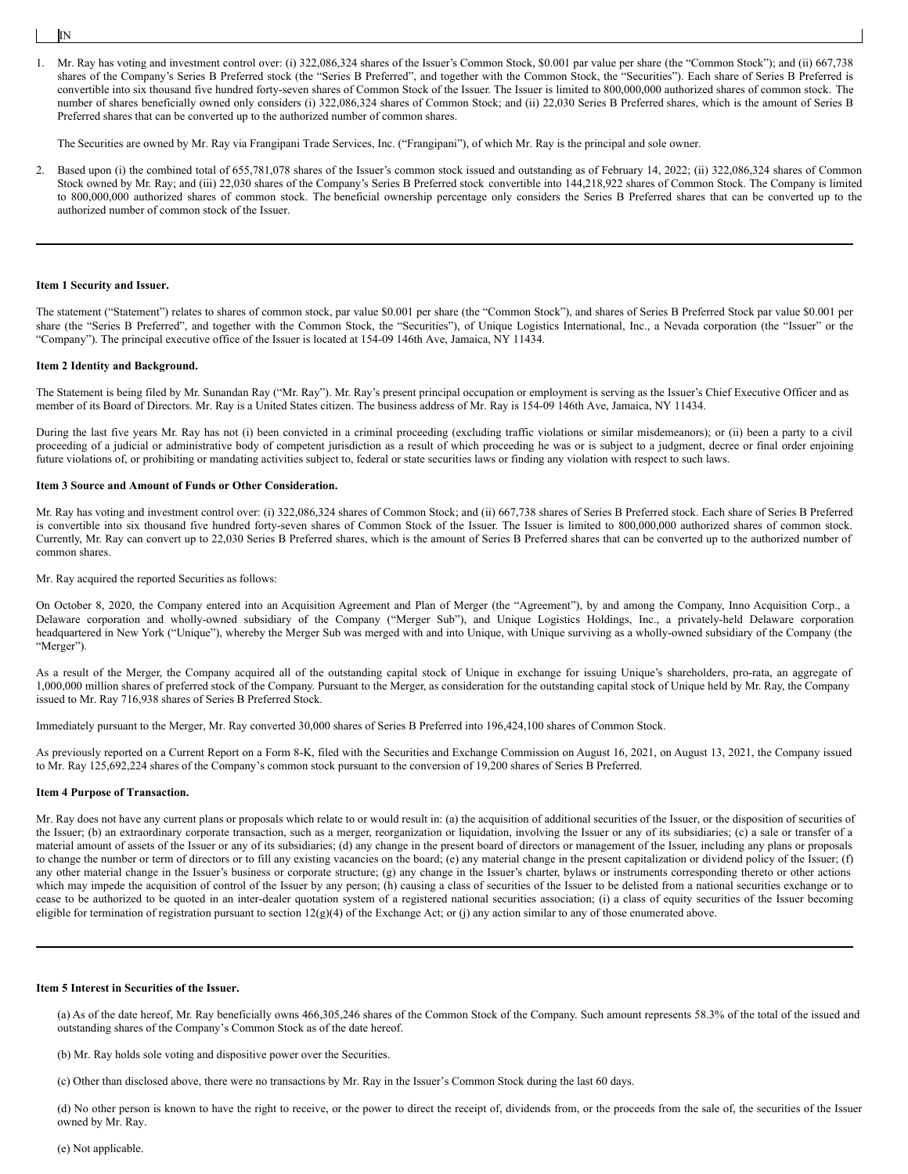IN

1. Mr. Ray has voting and investment control over: (i) 322,086,324 shares of the Issuer's Common Stock, \$0.001 par value per share (the "Common Stock"); and (ii) 667,738 shares of the Company's Series B Preferred stock (the "Series B Preferred", and together with the Common Stock, the "Securities"). Each share of Series B Preferred is convertible into six thousand five hundred forty-seven shares of Common Stock of the Issuer. The Issuer is limited to 800,000,000 authorized shares of common stock. The number of shares beneficially owned only considers (i) 322,086,324 shares of Common Stock; and (ii) 22,030 Series B Preferred shares, which is the amount of Series B Preferred shares that can be converted up to the authorized number of common shares.

The Securities are owned by Mr. Ray via Frangipani Trade Services, Inc. ("Frangipani"), of which Mr. Ray is the principal and sole owner.

2. Based upon (i) the combined total of 655,781,078 shares of the Issuer's common stock issued and outstanding as of February 14, 2022; (ii) 322,086,324 shares of Common Stock owned by Mr. Ray; and (iii) 22,030 shares of the Company's Series B Preferred stock convertible into 144,218,922 shares of Common Stock. The Company is limited to 800,000,000 authorized shares of common stock. The beneficial ownership percentage only considers the Series B Preferred shares that can be converted up to the authorized number of common stock of the Issuer.

#### **Item 1 Security and Issuer.**

The statement ("Statement") relates to shares of common stock, par value \$0.001 per share (the "Common Stock"), and shares of Series B Preferred Stock par value \$0.001 per share (the "Series B Preferred", and together with the Common Stock, the "Securities"), of Unique Logistics International, Inc., a Nevada corporation (the "Issuer" or the "Company"). The principal executive office of the Issuer is located at 154-09 146th Ave, Jamaica, NY 11434.

#### **Item 2 Identity and Background.**

The Statement is being filed by Mr. Sunandan Ray ("Mr. Ray"). Mr. Ray's present principal occupation or employment is serving as the Issuer's Chief Executive Officer and as member of its Board of Directors. Mr. Ray is a United States citizen. The business address of Mr. Ray is 154-09 146th Ave, Jamaica, NY 11434.

During the last five years Mr. Ray has not (i) been convicted in a criminal proceeding (excluding traffic violations or similar misdemeanors); or (ii) been a party to a civil proceeding of a judicial or administrative body of competent jurisdiction as a result of which proceeding he was or is subject to a judgment, decree or final order enjoining future violations of, or prohibiting or mandating activities subject to, federal or state securities laws or finding any violation with respect to such laws.

#### **Item 3 Source and Amount of Funds or Other Consideration.**

Mr. Ray has voting and investment control over: (i) 322,086,324 shares of Common Stock; and (ii) 667,738 shares of Series B Preferred stock. Each share of Series B Preferred is convertible into six thousand five hundred forty-seven shares of Common Stock of the Issuer. The Issuer is limited to 800,000,000 authorized shares of common stock. Currently, Mr. Ray can convert up to 22,030 Series B Preferred shares, which is the amount of Series B Preferred shares that can be converted up to the authorized number of common shares.

Mr. Ray acquired the reported Securities as follows:

On October 8, 2020, the Company entered into an Acquisition Agreement and Plan of Merger (the "Agreement"), by and among the Company, Inno Acquisition Corp., a Delaware corporation and wholly-owned subsidiary of the Company ("Merger Sub"), and Unique Logistics Holdings, Inc., a privately-held Delaware corporation headquartered in New York ("Unique"), whereby the Merger Sub was merged with and into Unique, with Unique surviving as a wholly-owned subsidiary of the Company (the "Merger").

As a result of the Merger, the Company acquired all of the outstanding capital stock of Unique in exchange for issuing Unique's shareholders, pro-rata, an aggregate of 1,000,000 million shares of preferred stock of the Company. Pursuant to the Merger, as consideration for the outstanding capital stock of Unique held by Mr. Ray, the Company issued to Mr. Ray 716,938 shares of Series B Preferred Stock.

Immediately pursuant to the Merger, Mr. Ray converted 30,000 shares of Series B Preferred into 196,424,100 shares of Common Stock.

As previously reported on a Current Report on a Form 8-K, filed with the Securities and Exchange Commission on August 16, 2021, on August 13, 2021, the Company issued to Mr. Ray 125,692,224 shares of the Company's common stock pursuant to the conversion of 19,200 shares of Series B Preferred.

#### **Item 4 Purpose of Transaction.**

Mr. Ray does not have any current plans or proposals which relate to or would result in: (a) the acquisition of additional securities of the Issuer, or the disposition of securities of the Issuer; (b) an extraordinary corporate transaction, such as a merger, reorganization or liquidation, involving the Issuer or any of its subsidiaries; (c) a sale or transfer of a material amount of assets of the Issuer or any of its subsidiaries; (d) any change in the present board of directors or management of the Issuer, including any plans or proposals to change the number or term of directors or to fill any existing vacancies on the board; (e) any material change in the present capitalization or dividend policy of the Issuer; (f) any other material change in the Issuer's business or corporate structure; (g) any change in the Issuer's charter, bylaws or instruments corresponding thereto or other actions which may impede the acquisition of control of the Issuer by any person; (h) causing a class of securities of the Issuer to be delisted from a national securities exchange or to cease to be authorized to be quoted in an inter-dealer quotation system of a registered national securities association; (i) a class of equity securities of the Issuer becoming eligible for termination of registration pursuant to section  $12(g)(4)$  of the Exchange Act; or (j) any action similar to any of those enumerated above.

#### **Item 5 Interest in Securities of the Issuer.**

(a) As of the date hereof, Mr. Ray beneficially owns 466,305,246 shares of the Common Stock of the Company. Such amount represents 58.3% of the total of the issued and outstanding shares of the Company's Common Stock as of the date hereof.

(b) Mr. Ray holds sole voting and dispositive power over the Securities.

(c) Other than disclosed above, there were no transactions by Mr. Ray in the Issuer's Common Stock during the last 60 days.

(d) No other person is known to have the right to receive, or the power to direct the receipt of, dividends from, or the proceeds from the sale of, the securities of the Issuer owned by Mr. Ray.